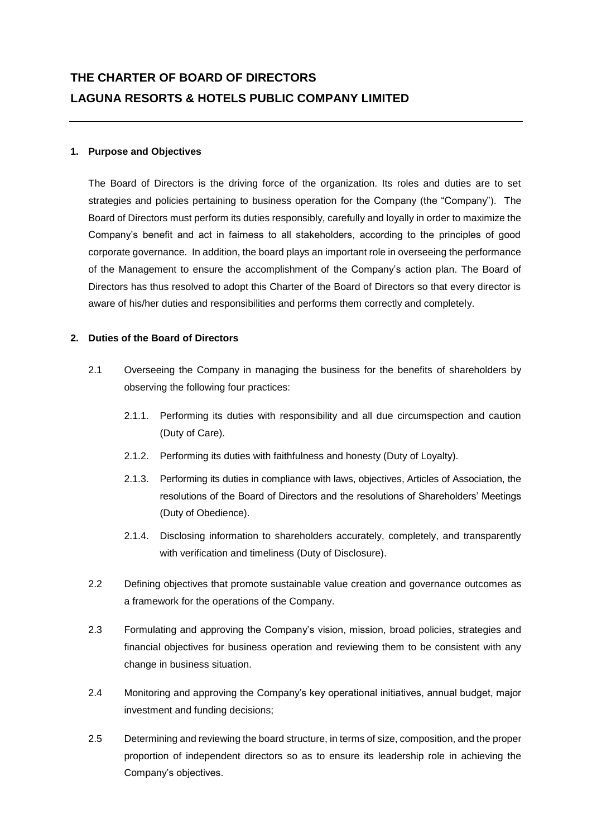## **1. Purpose and Objectives**

The Board of Directors is the driving force of the organization. Its roles and duties are to set strategies and policies pertaining to business operation for the Company (the "Company"). The Board of Directors must perform its duties responsibly, carefully and loyally in order to maximize the Company's benefit and act in fairness to all stakeholders, according to the principles of good corporate governance. In addition, the board plays an important role in overseeing the performance of the Management to ensure the accomplishment of the Company's action plan. The Board of Directors has thus resolved to adopt this Charter of the Board of Directors so that every director is aware of his/her duties and responsibilities and performs them correctly and completely.

## **2. Duties of the Board of Directors**

- 2.1 Overseeing the Company in managing the business for the benefits of shareholders by observing the following four practices:
	- 2.1.1. Performing its duties with responsibility and all due circumspection and caution (Duty of Care).
	- 2.1.2. Performing its duties with faithfulness and honesty (Duty of Loyalty).
	- 2.1.3. Performing its duties in compliance with laws, objectives, Articles of Association, the resolutions of the Board of Directors and the resolutions of Shareholders' Meetings (Duty of Obedience).
	- 2.1.4. Disclosing information to shareholders accurately, completely, and transparently with verification and timeliness (Duty of Disclosure).
- 2.2 Defining objectives that promote sustainable value creation and governance outcomes as a framework for the operations of the Company.
- 2.3 Formulating and approving the Company's vision, mission, broad policies, strategies and financial objectives for business operation and reviewing them to be consistent with any change in business situation.
- 2.4 Monitoring and approving the Company's key operational initiatives, annual budget, major investment and funding decisions;
- 2.5 Determining and reviewing the board structure, in terms of size, composition, and the proper proportion of independent directors so as to ensure its leadership role in achieving the Company's objectives.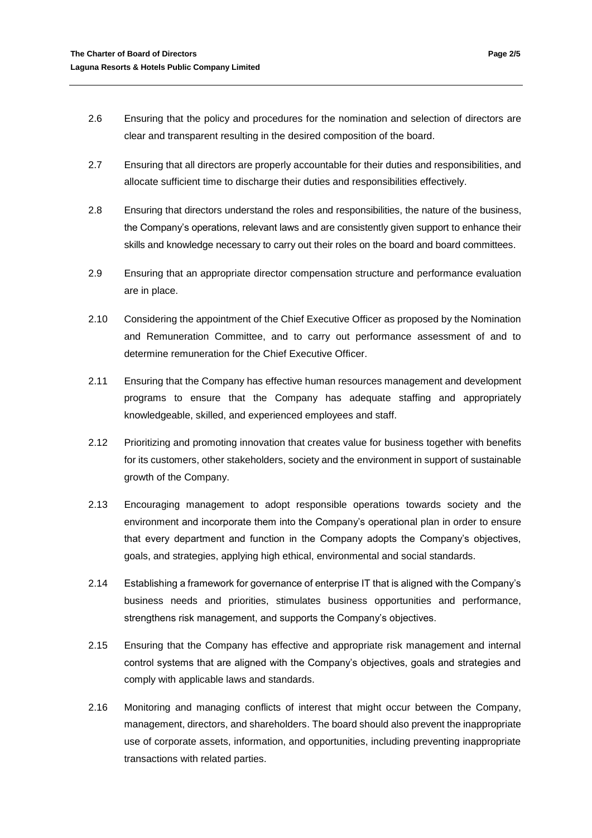- 2.6 Ensuring that the policy and procedures for the nomination and selection of directors are clear and transparent resulting in the desired composition of the board.
- 2.7 Ensuring that all directors are properly accountable for their duties and responsibilities, and allocate sufficient time to discharge their duties and responsibilities effectively.
- 2.8 Ensuring that directors understand the roles and responsibilities, the nature of the business, the Company's operations, relevant laws and are consistently given support to enhance their skills and knowledge necessary to carry out their roles on the board and board committees.
- 2.9 Ensuring that an appropriate director compensation structure and performance evaluation are in place.
- 2.10 Considering the appointment of the Chief Executive Officer as proposed by the Nomination and Remuneration Committee, and to carry out performance assessment of and to determine remuneration for the Chief Executive Officer.
- 2.11 Ensuring that the Company has effective human resources management and development programs to ensure that the Company has adequate staffing and appropriately knowledgeable, skilled, and experienced employees and staff.
- 2.12 Prioritizing and promoting innovation that creates value for business together with benefits for its customers, other stakeholders, society and the environment in support of sustainable growth of the Company.
- 2.13 Encouraging management to adopt responsible operations towards society and the environment and incorporate them into the Company's operational plan in order to ensure that every department and function in the Company adopts the Company's objectives, goals, and strategies, applying high ethical, environmental and social standards.
- 2.14 Establishing a framework for governance of enterprise IT that is aligned with the Company's business needs and priorities, stimulates business opportunities and performance, strengthens risk management, and supports the Company's objectives.
- 2.15 Ensuring that the Company has effective and appropriate risk management and internal control systems that are aligned with the Company's objectives, goals and strategies and comply with applicable laws and standards.
- 2.16 Monitoring and managing conflicts of interest that might occur between the Company, management, directors, and shareholders. The board should also prevent the inappropriate use of corporate assets, information, and opportunities, including preventing inappropriate transactions with related parties.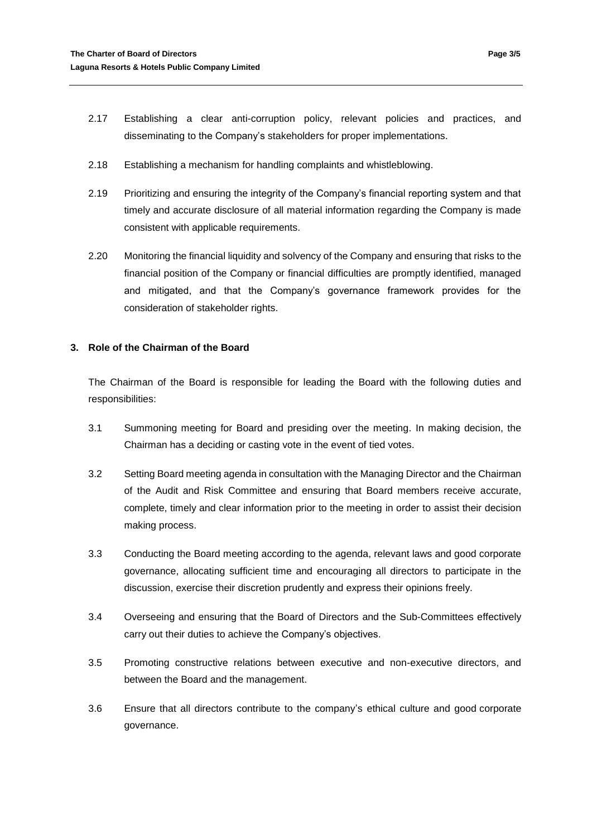- 2.17 Establishing a clear anti-corruption policy, relevant policies and practices, and disseminating to the Company's stakeholders for proper implementations.
- 2.18 Establishing a mechanism for handling complaints and whistleblowing.
- 2.19 Prioritizing and ensuring the integrity of the Company's financial reporting system and that timely and accurate disclosure of all material information regarding the Company is made consistent with applicable requirements.
- 2.20 Monitoring the financial liquidity and solvency of the Company and ensuring that risks to the financial position of the Company or financial difficulties are promptly identified, managed and mitigated, and that the Company's governance framework provides for the consideration of stakeholder rights.

# **3. Role of the Chairman of the Board**

The Chairman of the Board is responsible for leading the Board with the following duties and responsibilities:

- 3.1 Summoning meeting for Board and presiding over the meeting. In making decision, the Chairman has a deciding or casting vote in the event of tied votes.
- 3.2 Setting Board meeting agenda in consultation with the Managing Director and the Chairman of the Audit and Risk Committee and ensuring that Board members receive accurate, complete, timely and clear information prior to the meeting in order to assist their decision making process.
- 3.3 Conducting the Board meeting according to the agenda, relevant laws and good corporate governance, allocating sufficient time and encouraging all directors to participate in the discussion, exercise their discretion prudently and express their opinions freely.
- 3.4 Overseeing and ensuring that the Board of Directors and the Sub-Committees effectively carry out their duties to achieve the Company's objectives.
- 3.5 Promoting constructive relations between executive and non-executive directors, and between the Board and the management.
- 3.6 Ensure that all directors contribute to the company's ethical culture and good corporate governance.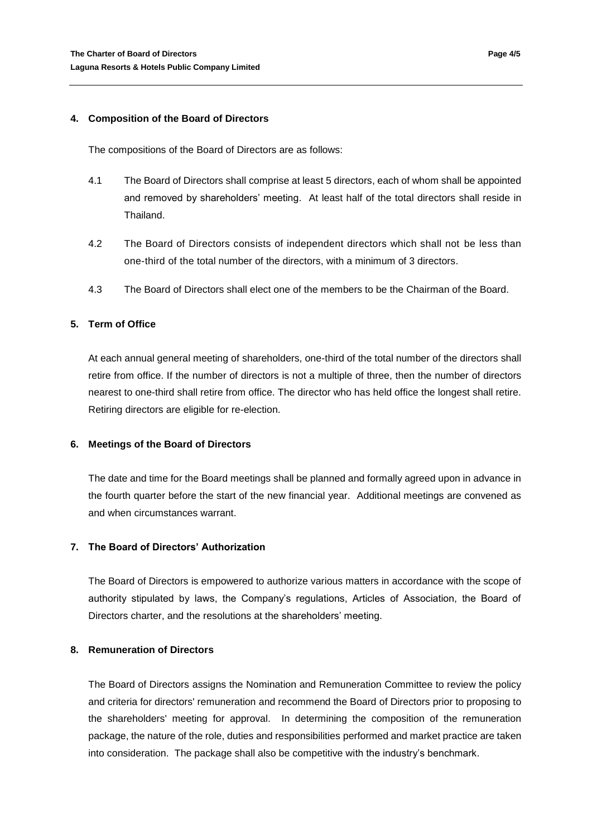#### **4. Composition of the Board of Directors**

The compositions of the Board of Directors are as follows:

- 4.1 The Board of Directors shall comprise at least 5 directors, each of whom shall be appointed and removed by shareholders' meeting. At least half of the total directors shall reside in Thailand.
- 4.2 The Board of Directors consists of independent directors which shall not be less than one-third of the total number of the directors, with a minimum of 3 directors.
- 4.3 The Board of Directors shall elect one of the members to be the Chairman of the Board.

## **5. Term of Office**

At each annual general meeting of shareholders, one-third of the total number of the directors shall retire from office. If the number of directors is not a multiple of three, then the number of directors nearest to one-third shall retire from office. The director who has held office the longest shall retire. Retiring directors are eligible for re-election.

#### **6. Meetings of the Board of Directors**

The date and time for the Board meetings shall be planned and formally agreed upon in advance in the fourth quarter before the start of the new financial year. Additional meetings are convened as and when circumstances warrant.

# **7. The Board of Directors' Authorization**

The Board of Directors is empowered to authorize various matters in accordance with the scope of authority stipulated by laws, the Company's regulations, Articles of Association, the Board of Directors charter, and the resolutions at the shareholders' meeting.

# **8. Remuneration of Directors**

The Board of Directors assigns the Nomination and Remuneration Committee to review the policy and criteria for directors' remuneration and recommend the Board of Directors prior to proposing to the shareholders' meeting for approval. In determining the composition of the remuneration package, the nature of the role, duties and responsibilities performed and market practice are taken into consideration. The package shall also be competitive with the industry's benchmark.